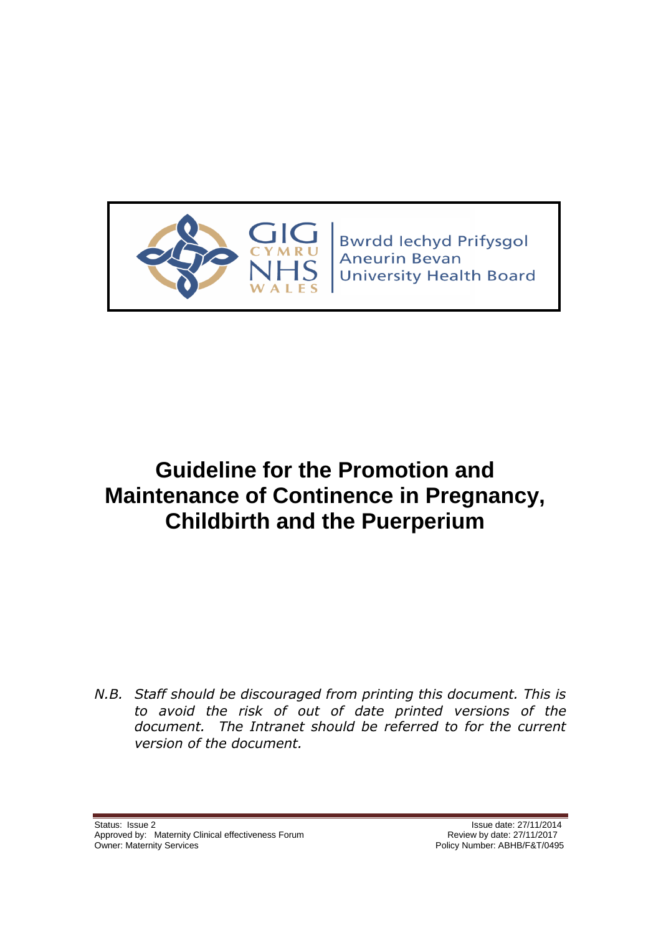

**Bwrdd lechyd Prifysgol** Aneurin Bevan **University Health Board** 

# **Guideline for the Promotion and Maintenance of Continence in Pregnancy, Childbirth and the Puerperium**

*N.B. Staff should be discouraged from printing this document. This is to avoid the risk of out of date printed versions of the document. The Intranet should be referred to for the current version of the document.*

Status: Issue 2<br>Approved by: Maternity Clinical effectiveness Forum<br>Approved by: Maternity Clinical effectiveness Forum<br>Approved by: Maternity Clinical effectiveness Forum Approved by: Maternity Clinical effectiveness Forum<br>Owner: Maternity Services

Policy Number: ABHB/F&T/0495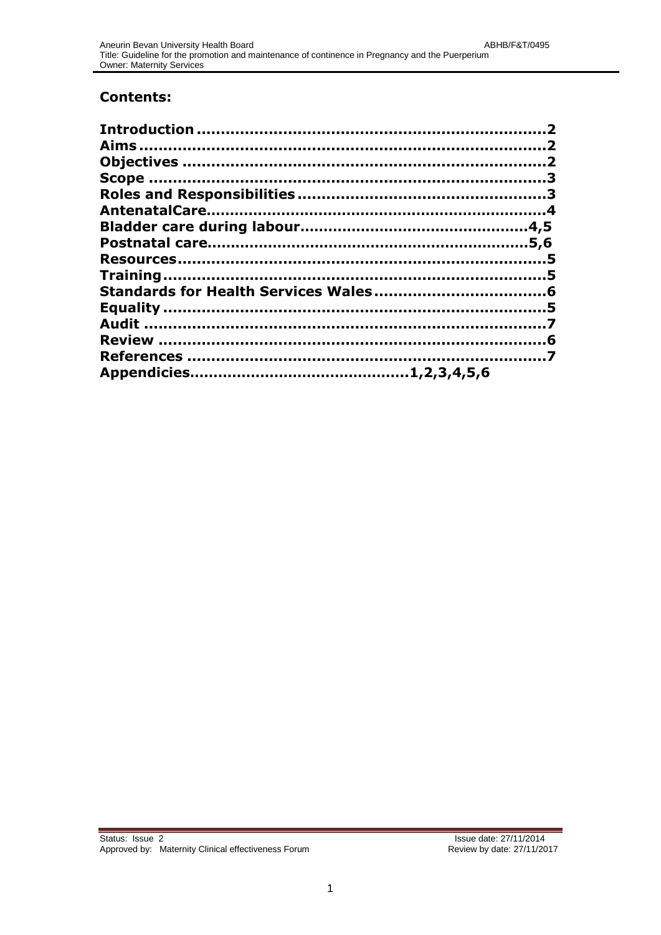## **Contents:**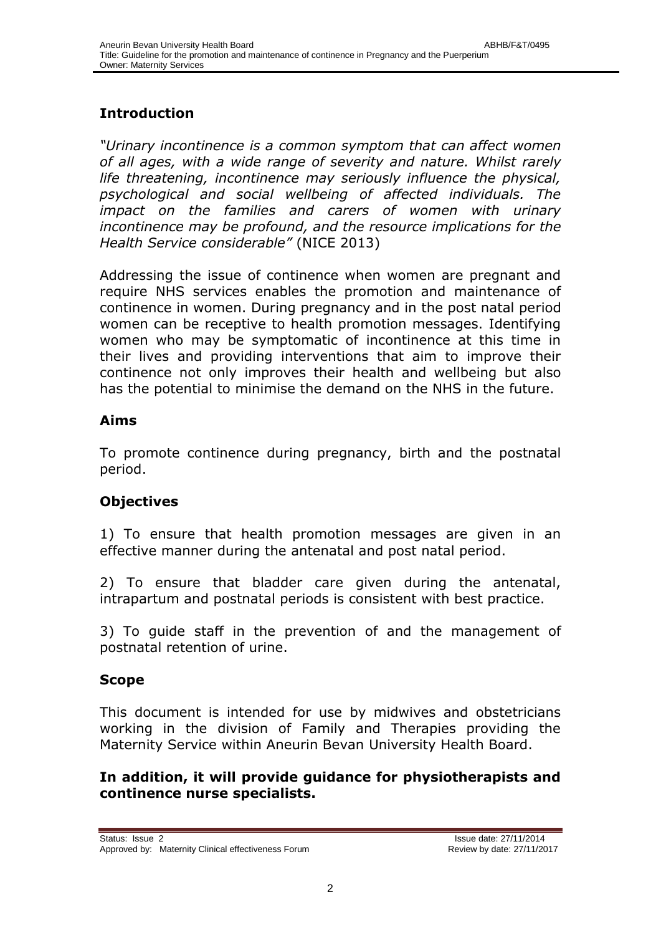## **Introduction**

*"Urinary incontinence is a common symptom that can affect women of all ages, with a wide range of severity and nature. Whilst rarely life threatening, incontinence may seriously influence the physical, psychological and social wellbeing of affected individuals. The impact on the families and carers of women with urinary incontinence may be profound, and the resource implications for the Health Service considerable"* (NICE 2013)

Addressing the issue of continence when women are pregnant and require NHS services enables the promotion and maintenance of continence in women. During pregnancy and in the post natal period women can be receptive to health promotion messages. Identifying women who may be symptomatic of incontinence at this time in their lives and providing interventions that aim to improve their continence not only improves their health and wellbeing but also has the potential to minimise the demand on the NHS in the future.

## <span id="page-2-1"></span><span id="page-2-0"></span>**Aims**

To promote continence during pregnancy, birth and the postnatal period.

## <span id="page-2-2"></span>**Objectives**

1) To ensure that health promotion messages are given in an effective manner during the antenatal and post natal period.

2) To ensure that bladder care given during the antenatal, intrapartum and postnatal periods is consistent with best practice.

3) To guide staff in the prevention of and the management of postnatal retention of urine.

## **Scope**

This document is intended for use by midwives and obstetricians working in the division of Family and Therapies providing the Maternity Service within Aneurin Bevan University Health Board.

## <span id="page-2-3"></span>**In addition, it will provide guidance for physiotherapists and continence nurse specialists.**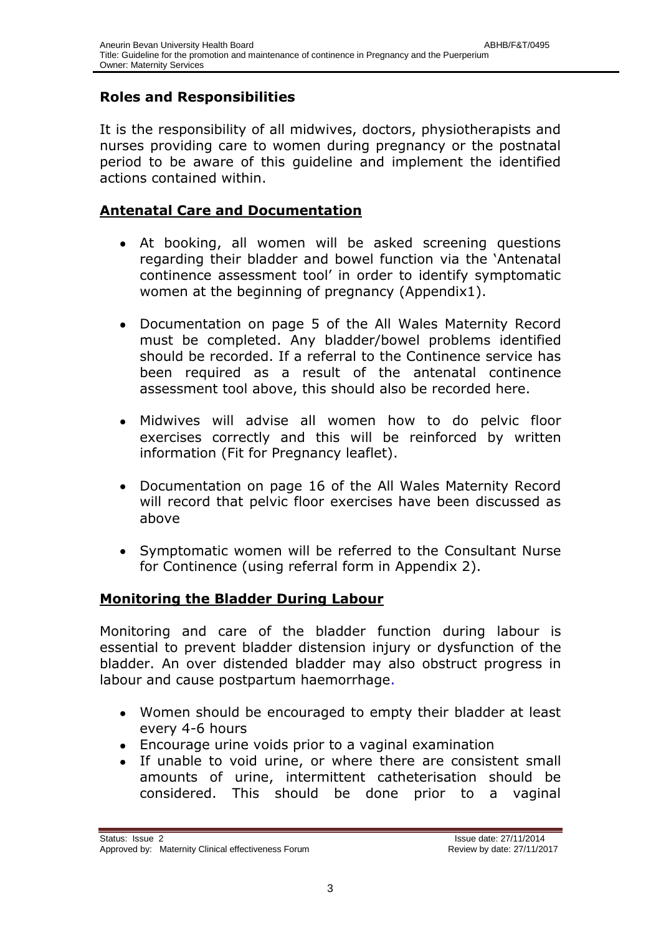## **Roles and Responsibilities**

It is the responsibility of all midwives, doctors, physiotherapists and nurses providing care to women during pregnancy or the postnatal period to be aware of this guideline and implement the identified actions contained within.

## **Antenatal Care and Documentation**

- <span id="page-3-0"></span>At booking, all women will be asked screening questions regarding their bladder and bowel function via the 'Antenatal continence assessment tool' in order to identify symptomatic women at the beginning of pregnancy (Appendix1).
- Documentation on page 5 of the All Wales Maternity Record  $\bullet$ must be completed. Any bladder/bowel problems identified should be recorded. If a referral to the Continence service has been required as a result of the antenatal continence assessment tool above, this should also be recorded here.
- Midwives will advise all women how to do pelvic floor  $\bullet$ exercises correctly and this will be reinforced by written information (Fit for Pregnancy leaflet).
- $\bullet$ Documentation on page 16 of the All Wales Maternity Record will record that pelvic floor exercises have been discussed as above
- Symptomatic women will be referred to the Consultant Nurse for Continence (using referral form in Appendix 2).

## **Monitoring the Bladder During Labour**

Monitoring and care of the bladder function during labour is essential to prevent bladder distension injury or dysfunction of the bladder. An over distended bladder may also obstruct progress in labour and cause postpartum haemorrhage.

- Women should be encouraged to empty their bladder at least every 4-6 hours
- Encourage urine voids prior to a vaginal examination
- If unable to void urine, or where there are consistent small  $\bullet$ amounts of urine, intermittent catheterisation should be considered. This should be done prior to a vaginal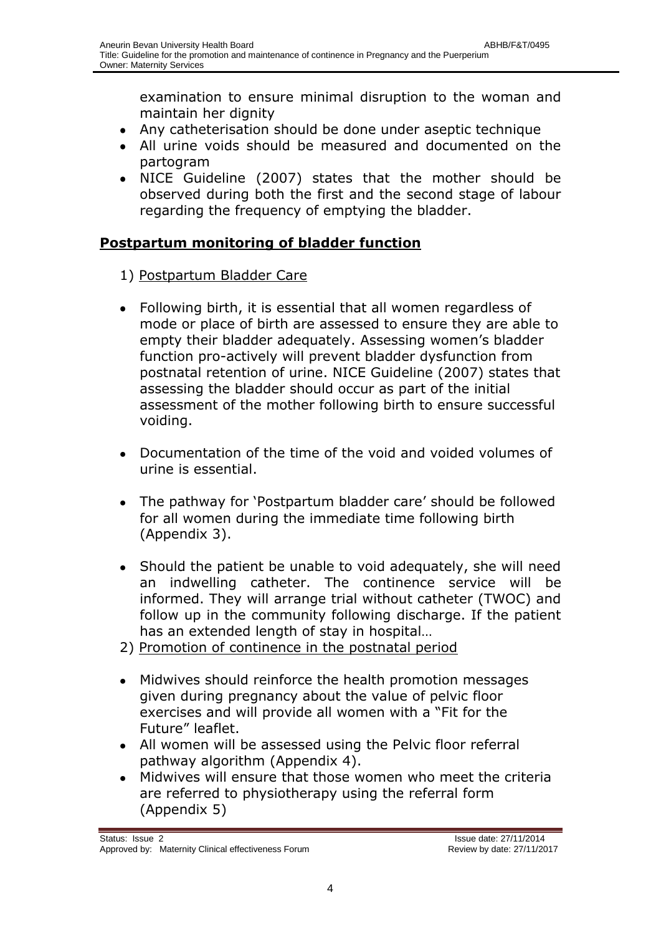examination to ensure minimal disruption to the woman and maintain her dignity

- Any catheterisation should be done under aseptic technique
- All urine voids should be measured and documented on the partogram
- NICE Guideline (2007) states that the mother should be  $\bullet$ observed during both the first and the second stage of labour regarding the frequency of emptying the bladder.

## **Postpartum monitoring of bladder function**

- 1) Postpartum Bladder Care
- Following birth, it is essential that all women regardless of  $\bullet$ mode or place of birth are assessed to ensure they are able to empty their bladder adequately. Assessing women's bladder function pro-actively will prevent bladder dysfunction from postnatal retention of urine. NICE Guideline (2007) states that assessing the bladder should occur as part of the initial assessment of the mother following birth to ensure successful voiding.
- Documentation of the time of the void and voided volumes of  $\bullet$ urine is essential.
- The pathway for 'Postpartum bladder care' should be followed  $\bullet$ for all women during the immediate time following birth (Appendix 3).
- Should the patient be unable to void adequately, she will need  $\bullet$ an indwelling catheter. The continence service will be informed. They will arrange trial without catheter (TWOC) and follow up in the community following discharge. If the patient has an extended length of stay in hospital…
- 2) Promotion of continence in the postnatal period
- Midwives should reinforce the health promotion messages  $\bullet$ given during pregnancy about the value of pelvic floor exercises and will provide all women with a "Fit for the Future" leaflet.
- All women will be assessed using the Pelvic floor referral pathway algorithm (Appendix 4).
- $\bullet$ Midwives will ensure that those women who meet the criteria are referred to physiotherapy using the referral form (Appendix 5)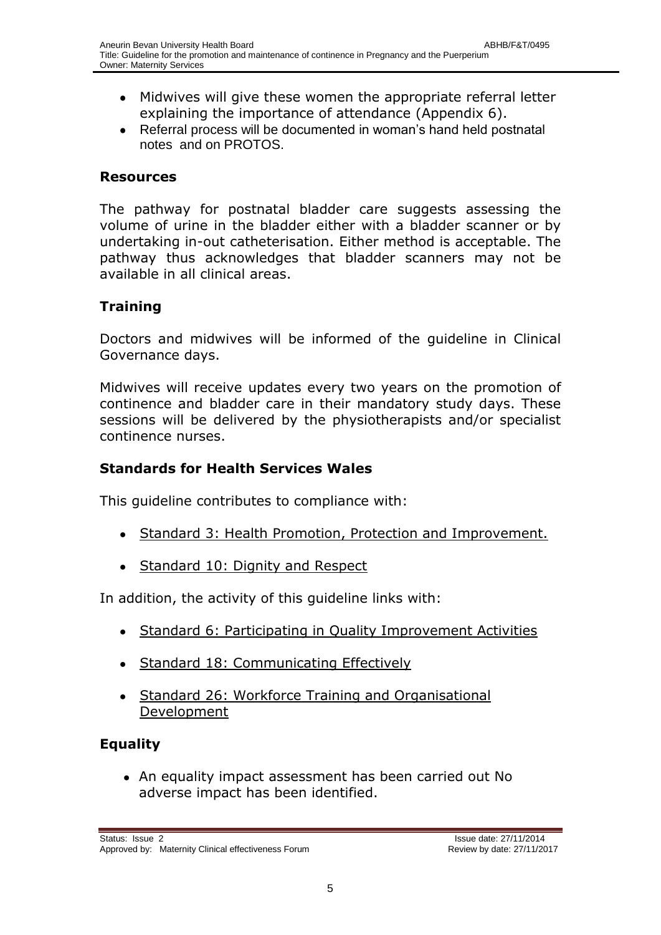- Midwives will give these women the appropriate referral letter  $\bullet$ explaining the importance of attendance (Appendix 6).
- Referral process will be documented in woman's hand held postnatal  $\bullet$ notes and on PROTOS.

#### **Resources**

The pathway for postnatal bladder care suggests assessing the volume of urine in the bladder either with a bladder scanner or by undertaking in-out catheterisation. Either method is acceptable. The pathway thus acknowledges that bladder scanners may not be available in all clinical areas.

## <span id="page-5-0"></span>**Training**

Doctors and midwives will be informed of the guideline in Clinical Governance days.

Midwives will receive updates every two years on the promotion of continence and bladder care in their mandatory study days. These sessions will be delivered by the physiotherapists and/or specialist continence nurses.

### <span id="page-5-1"></span>**Standards for Health Services Wales**

This guideline contributes to compliance with:

- Standard 3: Health Promotion, Protection and Improvement.
- Standard 10: Dignity and Respect

In addition, the activity of this guideline links with:

- Standard 6: Participating in Quality Improvement Activities
- Standard 18: Communicating Effectively
- Standard 26: Workforce Training and Organisational Development

## **Equality**

<span id="page-5-2"></span>An equality impact assessment has been carried out No adverse impact has been identified.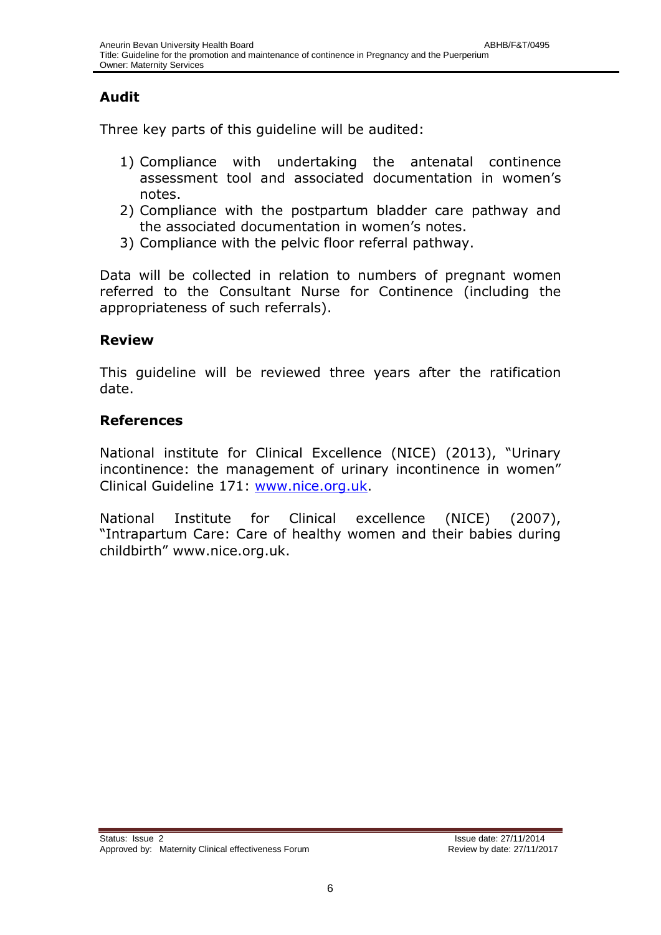## **Audit**

Three key parts of this guideline will be audited:

- 1) Compliance with undertaking the antenatal continence assessment tool and associated documentation in women's notes.
- 2) Compliance with the postpartum bladder care pathway and the associated documentation in women's notes.
- 3) Compliance with the pelvic floor referral pathway.

Data will be collected in relation to numbers of pregnant women referred to the Consultant Nurse for Continence (including the appropriateness of such referrals).

#### <span id="page-6-0"></span>**Review**

This guideline will be reviewed three years after the ratification date.

#### **References**

National institute for Clinical Excellence (NICE) (2013), "Urinary incontinence: the management of urinary incontinence in women" Clinical Guideline 171: [www.nice.org.uk.](http://www.nice.org.uk/)

National Institute for Clinical excellence (NICE) (2007), "Intrapartum Care: Care of healthy women and their babies during childbirth" www.nice.org.uk.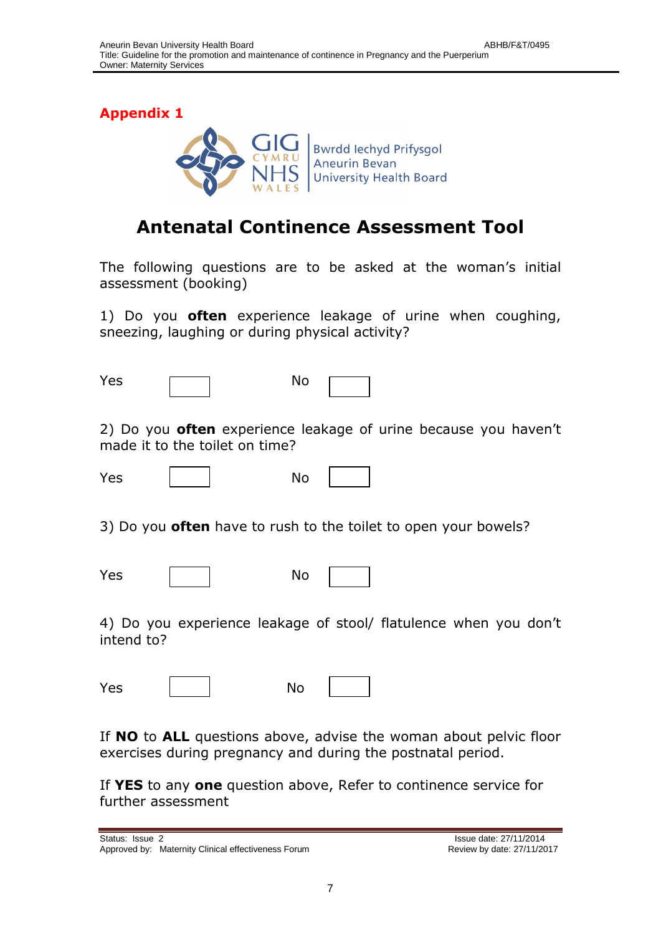

## **Antenatal Continence Assessment Tool**

The following questions are to be asked at the woman's initial assessment (booking)

1) Do you **often** experience leakage of urine when coughing, sneezing, laughing or during physical activity?

| Yes | No |
|-----|----|
|     |    |

2) Do you **often** experience leakage of urine because you haven't made it to the toilet on time?

Yes | | No

3) Do you **often** have to rush to the toilet to open your bowels?

Yes | | No

|--|--|

4) Do you experience leakage of stool/ flatulence when you don't intend to?

Yes | | No

If **NO** to **ALL** questions above, advise the woman about pelvic floor exercises during pregnancy and during the postnatal period.

If **YES** to any **one** question above, Refer to continence service for further assessment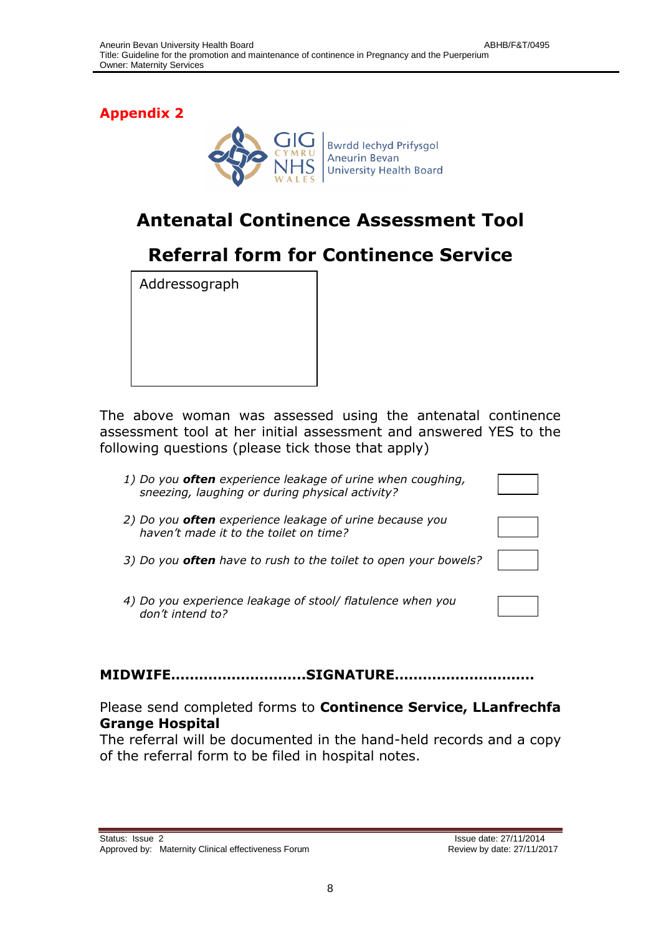

# **Antenatal Continence Assessment Tool**

# **Referral form for Continence Service**

Addressograph

The above woman was assessed using the antenatal continence assessment tool at her initial assessment and answered YES to the following questions (please tick those that apply)

- *1) Do you often experience leakage of urine when coughing, sneezing, laughing or during physical activity?*
- *2) Do you often experience leakage of urine because you haven't made it to the toilet on time?*
- *3) Do you often have to rush to the toilet to open your bowels?*
- *4) Do you experience leakage of stool/ flatulence when you don't intend to?*

#### **MIDWIFE………………………..SIGNATURE…………………………**

Please send completed forms to **Continence Service, LLanfrechfa Grange Hospital**

The referral will be documented in the hand-held records and a copy of the referral form to be filed in hospital notes.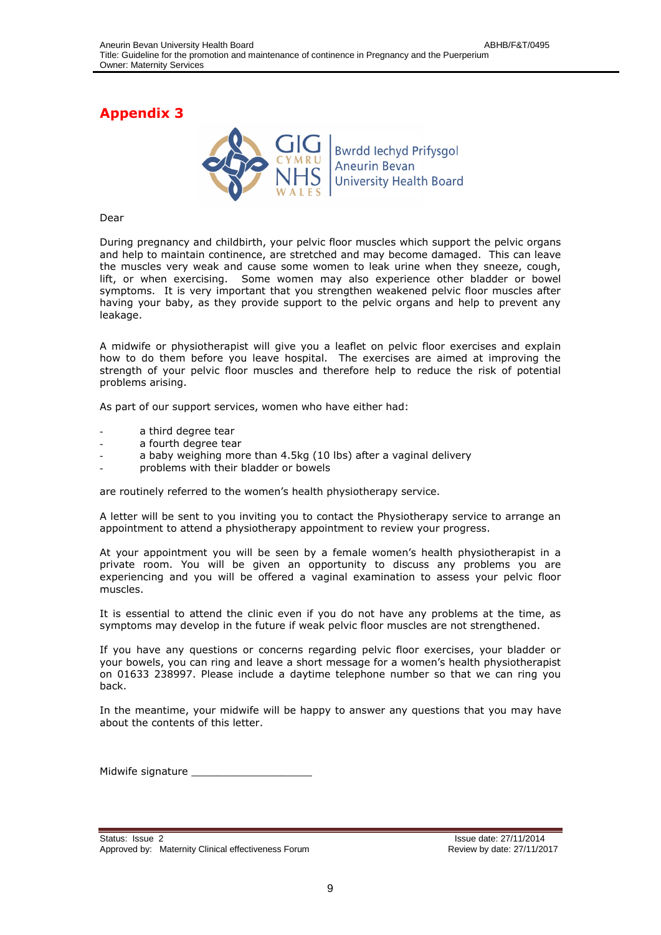

#### Dear

During pregnancy and childbirth, your pelvic floor muscles which support the pelvic organs and help to maintain continence, are stretched and may become damaged. This can leave the muscles very weak and cause some women to leak urine when they sneeze, cough, lift, or when exercising. Some women may also experience other bladder or bowel symptoms. It is very important that you strengthen weakened pelvic floor muscles after having your baby, as they provide support to the pelvic organs and help to prevent any leakage.

A midwife or physiotherapist will give you a leaflet on pelvic floor exercises and explain how to do them before you leave hospital. The exercises are aimed at improving the strength of your pelvic floor muscles and therefore help to reduce the risk of potential problems arising.

As part of our support services, women who have either had:

- a third degree tear
- a fourth degree tear
- a baby weighing more than 4.5kg (10 lbs) after a vaginal delivery
- problems with their bladder or bowels

are routinely referred to the women's health physiotherapy service.

A letter will be sent to you inviting you to contact the Physiotherapy service to arrange an appointment to attend a physiotherapy appointment to review your progress.

At your appointment you will be seen by a female women's health physiotherapist in a private room. You will be given an opportunity to discuss any problems you are experiencing and you will be offered a vaginal examination to assess your pelvic floor muscles.

It is essential to attend the clinic even if you do not have any problems at the time, as symptoms may develop in the future if weak pelvic floor muscles are not strengthened.

If you have any questions or concerns regarding pelvic floor exercises, your bladder or your bowels, you can ring and leave a short message for a women's health physiotherapist on 01633 238997. Please include a daytime telephone number so that we can ring you back.

In the meantime, your midwife will be happy to answer any questions that you may have about the contents of this letter.

Midwife signature \_\_\_\_\_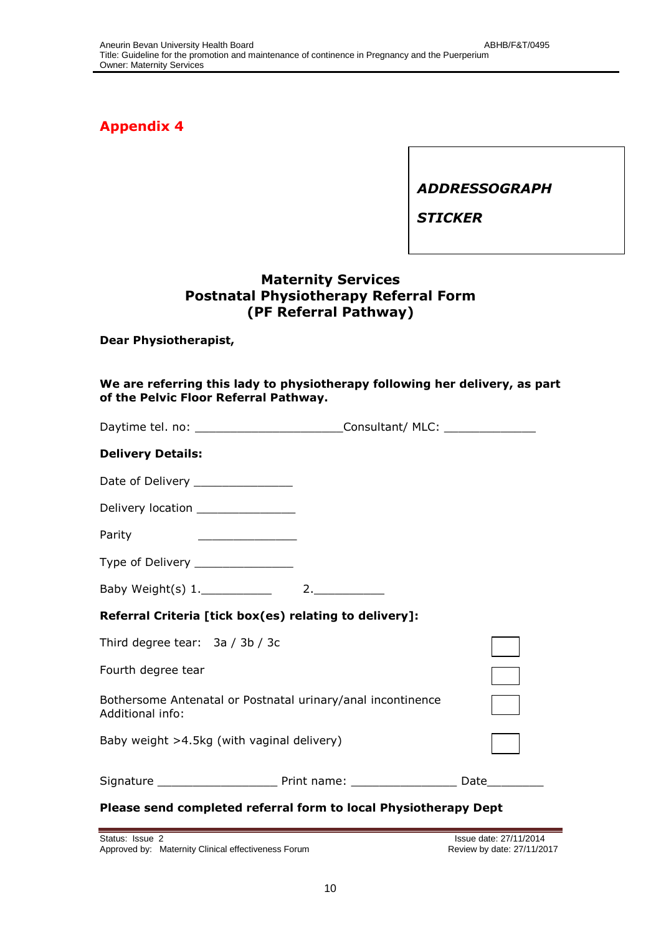*ADDRESSOGRAPH*

*STICKER*

### **Maternity Services Postnatal Physiotherapy Referral Form (PF Referral Pathway)**

**Dear Physiotherapist,**

| We are referring this lady to physiotherapy following her delivery, as part<br>of the Pelvic Floor Referral Pathway.                                                                                                                           |  |                        |  |
|------------------------------------------------------------------------------------------------------------------------------------------------------------------------------------------------------------------------------------------------|--|------------------------|--|
| Daytime tel. no: _______________________________Consultant/ MLC: _______________                                                                                                                                                               |  |                        |  |
| <b>Delivery Details:</b>                                                                                                                                                                                                                       |  |                        |  |
| Date of Delivery _______________                                                                                                                                                                                                               |  |                        |  |
| Delivery location _______________                                                                                                                                                                                                              |  |                        |  |
| Parity<br><u>and the state of the state of the state of the state of the state of the state of the state of the state of the state of the state of the state of the state of the state of the state of the state of the state of the state</u> |  |                        |  |
| Type of Delivery ________________                                                                                                                                                                                                              |  |                        |  |
|                                                                                                                                                                                                                                                |  |                        |  |
| Referral Criteria [tick box(es) relating to delivery]:                                                                                                                                                                                         |  |                        |  |
| Third degree tear: 3a / 3b / 3c                                                                                                                                                                                                                |  |                        |  |
| Fourth degree tear                                                                                                                                                                                                                             |  |                        |  |
| Bothersome Antenatal or Postnatal urinary/anal incontinence<br>Additional info:                                                                                                                                                                |  |                        |  |
| Baby weight >4.5kg (with vaginal delivery)                                                                                                                                                                                                     |  |                        |  |
|                                                                                                                                                                                                                                                |  |                        |  |
| Please send completed referral form to local Physiotherapy Dept                                                                                                                                                                                |  |                        |  |
| Status: Issue 2                                                                                                                                                                                                                                |  | Issue date: 27/11/2014 |  |

Approved by: Maternity Clinical effectiveness Forum and and the seriew by date: 27/11/2017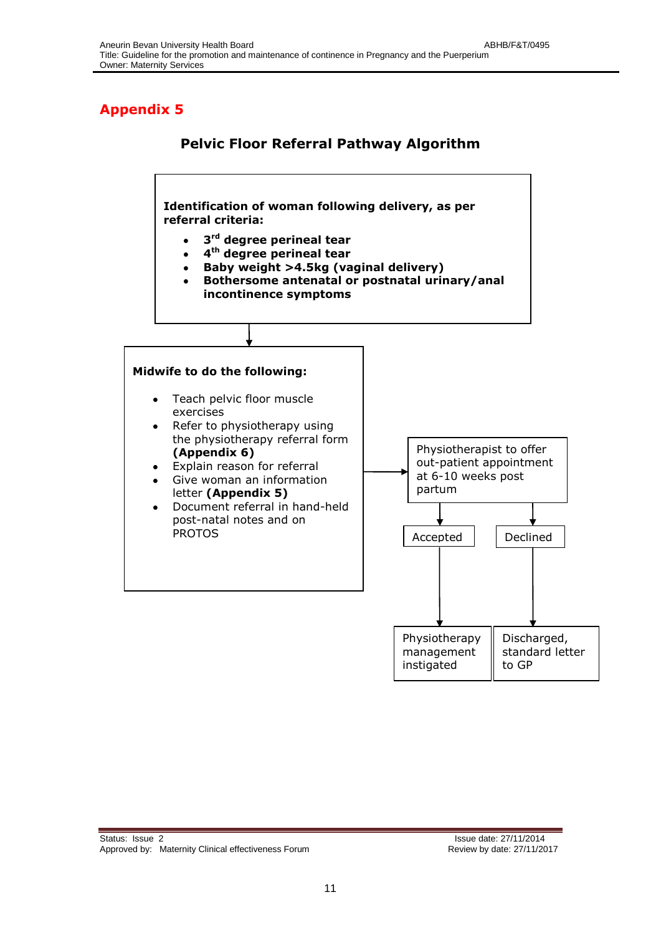## **Pelvic Floor Referral Pathway Algorithm**

**Identification of woman following delivery, as per referral criteria:**

- **3 rd degree perineal tear**
- **4 th degree perineal tear**
- **Baby weight >4.5kg (vaginal delivery)**
- **Bothersome antenatal or postnatal urinary/anal incontinence symptoms**

#### **Midwife to do the following:**

- Teach pelvic floor muscle exercises
- Refer to physiotherapy using  $\bullet$ the physiotherapy referral form **(Appendix 6)**
- Explain reason for referral
- Give woman an information letter **(Appendix 5)**
- Document referral in hand-held  $\bullet$ post-natal notes and on PROTOS